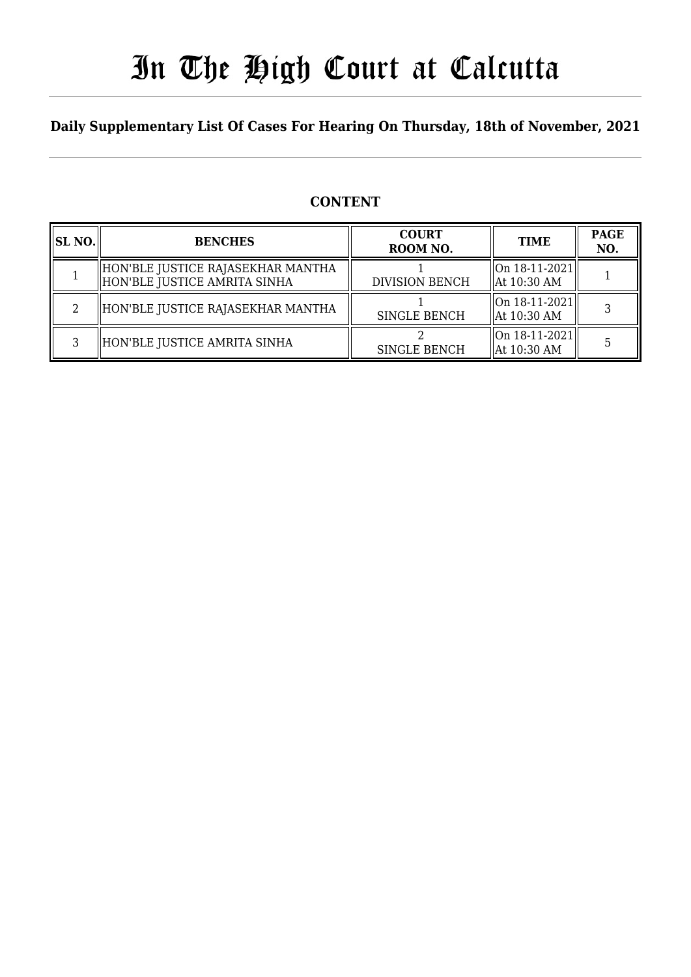## In The High Court at Calcutta

### **Daily Supplementary List Of Cases For Hearing On Thursday, 18th of November, 2021**

### **CONTENT**

| <b>SL NO.</b> | <b>BENCHES</b>                                                      | <b>COURT</b><br>ROOM NO. | <b>TIME</b>                                            | <b>PAGE</b><br>NO. |
|---------------|---------------------------------------------------------------------|--------------------------|--------------------------------------------------------|--------------------|
|               | HON'BLE JUSTICE RAJASEKHAR MANTHA<br>  HON'BLE JUSTICE AMRITA SINHA | <b>DIVISION BENCH</b>    | $\ $ On 18-11-2021<br>$\parallel$ At 10:30 AM          |                    |
|               | HON'BLE JUSTICE RAJASEKHAR MANTHA                                   | <b>SINGLE BENCH</b>      | $\sqrt{\ln 18 - 11 - 2021}$<br>$\parallel$ At 10:30 AM |                    |
|               | HON'BLE JUSTICE AMRITA SINHA                                        | <b>SINGLE BENCH</b>      | On 18-11-2021 <br>$\parallel$ At 10:30 AM              |                    |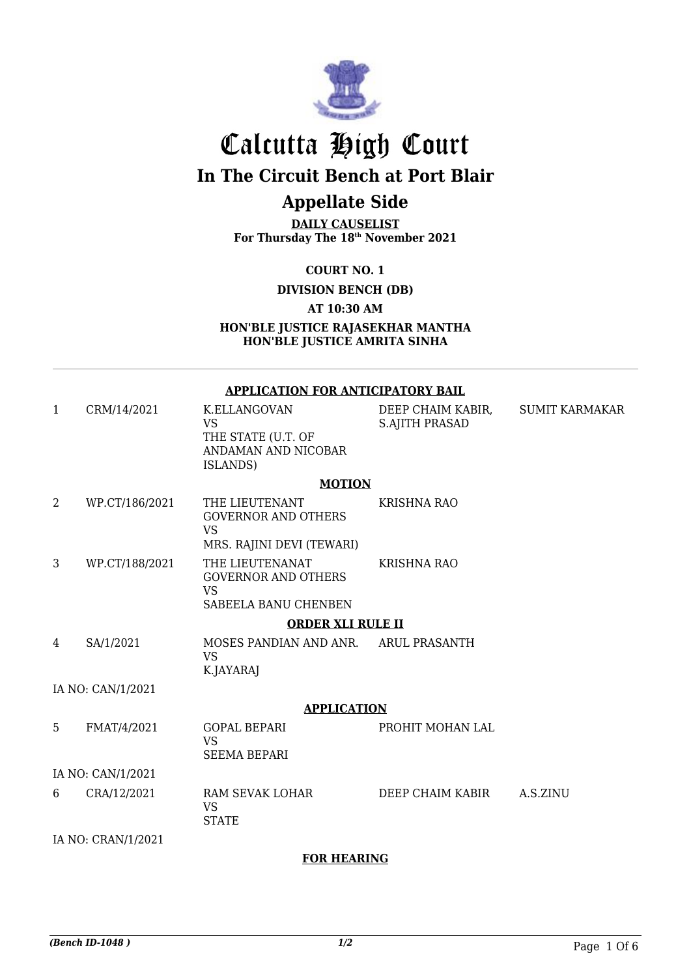

## Calcutta High Court

**In The Circuit Bench at Port Blair**

## **Appellate Side**

**DAILY CAUSELIST For Thursday The 18th November 2021**

**COURT NO. 1**

**DIVISION BENCH (DB)**

**AT 10:30 AM**

**HON'BLE JUSTICE RAJASEKHAR MANTHA HON'BLE JUSTICE AMRITA SINHA**

#### **APPLICATION FOR ANTICIPATORY BAIL**

1 CRM/14/2021 K.ELLANGOVAN VS THE STATE (U.T. OF ANDAMAN AND NICOBAR ISLANDS) DEEP CHAIM KABIR, S.AJITH PRASAD SUMIT KARMAKAR

#### **MOTION**

2 WP.CT/186/2021 THE LIEUTENANT GOVERNOR AND OTHERS VS MRS. RAJINI DEVI (TEWARI) KRISHNA RAO 3 WP.CT/188/2021 THE LIEUTENANAT GOVERNOR AND OTHERS VS SABEELA BANU CHENBEN KRISHNA RAO

#### **ORDER XLI RULE II**

4 SA/1/2021 MOSES PANDIAN AND ANR. VS K.JAYARAJ ARUL PRASANTH

IA NO: CAN/1/2021

#### **APPLICATION**

5 FMAT/4/2021 GOPAL BEPARI VS SEEMA BEPARI PROHIT MOHAN LAL IA NO: CAN/1/2021 6 CRA/12/2021 RAM SEVAK LOHAR VS **STATE** DEEP CHAIM KABIR A.S.ZINU

IA NO: CRAN/1/2021

#### **FOR HEARING**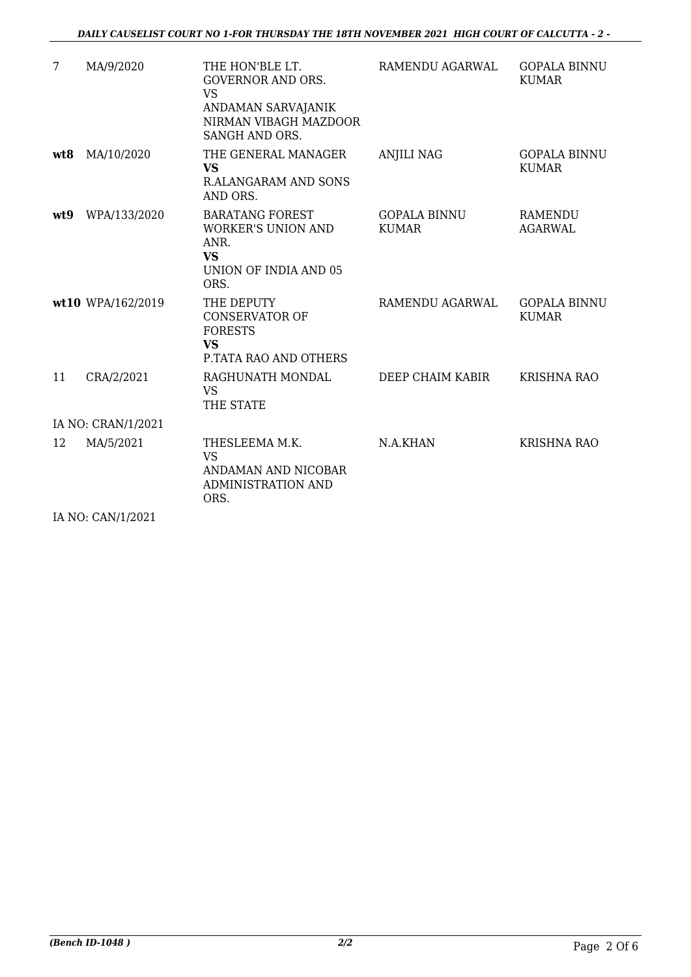| 7                  | MA/9/2020         | THE HON'BLE LT.<br><b>GOVERNOR AND ORS.</b><br><b>VS</b><br>ANDAMAN SARVAJANIK<br>NIRMAN VIBAGH MAZDOOR<br>SANGH AND ORS. | RAMENDU AGARWAL                     | <b>GOPALA BINNU</b><br><b>KUMAR</b> |  |
|--------------------|-------------------|---------------------------------------------------------------------------------------------------------------------------|-------------------------------------|-------------------------------------|--|
| wt8                | MA/10/2020        | THE GENERAL MANAGER<br><b>VS</b><br>R.ALANGARAM AND SONS<br>AND ORS.                                                      | <b>ANJILI NAG</b>                   | <b>GOPALA BINNU</b><br><b>KUMAR</b> |  |
| wt9                | WPA/133/2020      | <b>BARATANG FOREST</b><br><b>WORKER'S UNION AND</b><br>ANR.<br><b>VS</b><br>UNION OF INDIA AND 05<br>ORS.                 | <b>GOPALA BINNU</b><br><b>KUMAR</b> | <b>RAMENDU</b><br><b>AGARWAL</b>    |  |
|                    | wt10 WPA/162/2019 | THE DEPUTY<br><b>CONSERVATOR OF</b><br><b>FORESTS</b><br><b>VS</b><br><b>P.TATA RAO AND OTHERS</b>                        | RAMENDU AGARWAL                     | <b>GOPALA BINNU</b><br><b>KUMAR</b> |  |
| 11                 | CRA/2/2021        | RAGHUNATH MONDAL<br>VS.<br>THE STATE                                                                                      | DEEP CHAIM KABIR                    | <b>KRISHNA RAO</b>                  |  |
| IA NO: CRAN/1/2021 |                   |                                                                                                                           |                                     |                                     |  |
| 12                 | MA/5/2021         | THESLEEMA M.K.<br><b>VS</b><br>ANDAMAN AND NICOBAR<br><b>ADMINISTRATION AND</b><br>ORS.                                   | N.A.KHAN                            | <b>KRISHNA RAO</b>                  |  |

IA NO: CAN/1/2021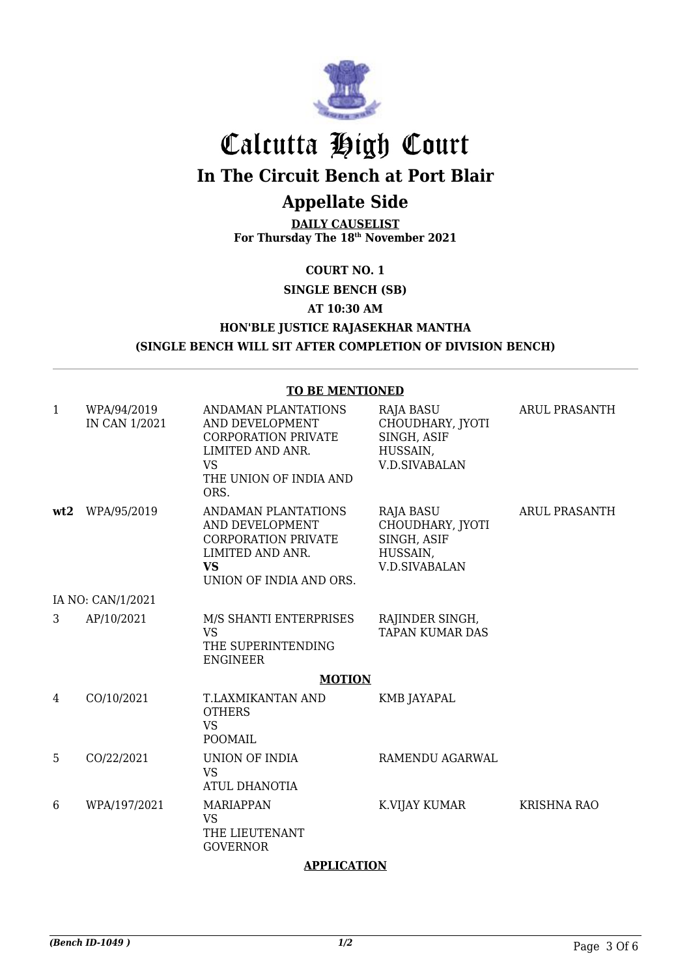

# Calcutta High Court

**In The Circuit Bench at Port Blair**

## **Appellate Side**

**DAILY CAUSELIST For Thursday The 18th November 2021**

**COURT NO. 1**

**SINGLE BENCH (SB) AT 10:30 AM HON'BLE JUSTICE RAJASEKHAR MANTHA (SINGLE BENCH WILL SIT AFTER COMPLETION OF DIVISION BENCH)**

#### **TO BE MENTIONED**

| $\mathbf{1}$ | WPA/94/2019<br>IN CAN 1/2021 | ANDAMAN PLANTATIONS<br>AND DEVELOPMENT<br><b>CORPORATION PRIVATE</b><br>LIMITED AND ANR.<br><b>VS</b><br>THE UNION OF INDIA AND<br>ORS. | <b>RAJA BASU</b><br>CHOUDHARY, JYOTI<br>SINGH, ASIF<br>HUSSAIN,<br><b>V.D.SIVABALAN</b> | <b>ARUL PRASANTH</b> |  |  |
|--------------|------------------------------|-----------------------------------------------------------------------------------------------------------------------------------------|-----------------------------------------------------------------------------------------|----------------------|--|--|
| wt2          | WPA/95/2019                  | ANDAMAN PLANTATIONS<br>AND DEVELOPMENT<br><b>CORPORATION PRIVATE</b><br>LIMITED AND ANR.<br><b>VS</b><br>UNION OF INDIA AND ORS.        | <b>RAJA BASU</b><br>CHOUDHARY, JYOTI<br>SINGH, ASIF<br>HUSSAIN,<br><b>V.D.SIVABALAN</b> | ARUL PRASANTH        |  |  |
|              | IA NO: CAN/1/2021            |                                                                                                                                         |                                                                                         |                      |  |  |
| 3            | AP/10/2021                   | M/S SHANTI ENTERPRISES<br><b>VS</b><br>THE SUPERINTENDING<br><b>ENGINEER</b>                                                            | RAJINDER SINGH,<br>TAPAN KUMAR DAS                                                      |                      |  |  |
|              | <b>MOTION</b>                |                                                                                                                                         |                                                                                         |                      |  |  |
| 4            | CO/10/2021                   | T.LAXMIKANTAN AND<br><b>OTHERS</b><br><b>VS</b><br>POOMAIL                                                                              | KMB JAYAPAL                                                                             |                      |  |  |
| 5            | CO/22/2021                   | UNION OF INDIA<br><b>VS</b><br>ATUL DHANOTIA                                                                                            | RAMENDU AGARWAL                                                                         |                      |  |  |
| 6            | WPA/197/2021                 | <b>MARIAPPAN</b><br><b>VS</b><br>THE LIEUTENANT<br><b>GOVERNOR</b>                                                                      | K.VIJAY KUMAR                                                                           | <b>KRISHNA RAO</b>   |  |  |

#### **APPLICATION**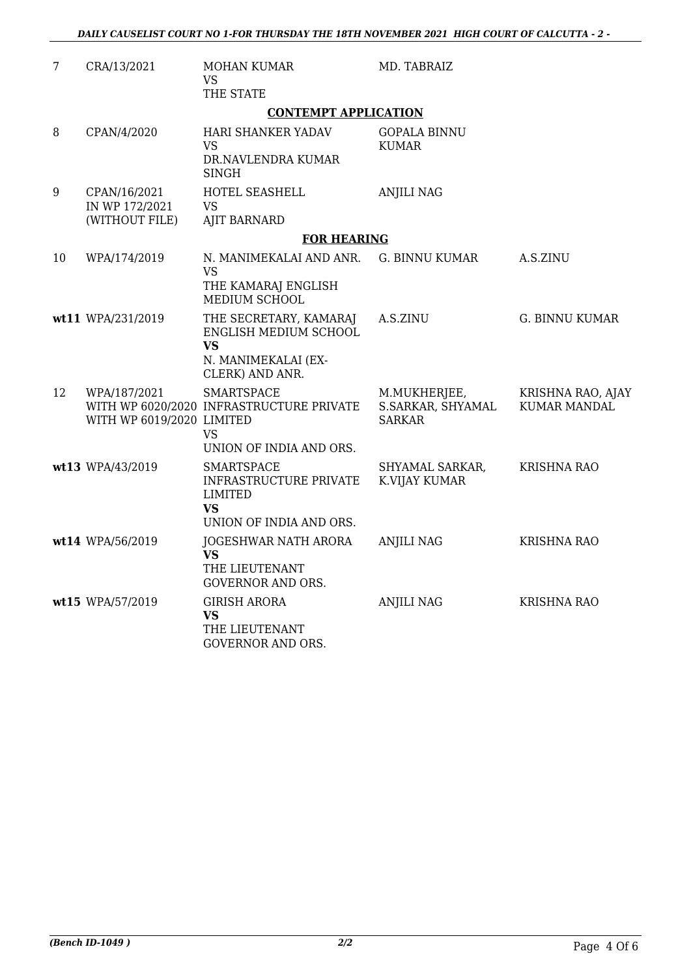| 7  | CRA/13/2021                                      | <b>MOHAN KUMAR</b><br>VS<br>THE STATE                                                                  | MD. TABRAIZ                                        |                                          |
|----|--------------------------------------------------|--------------------------------------------------------------------------------------------------------|----------------------------------------------------|------------------------------------------|
|    |                                                  | <b>CONTEMPT APPLICATION</b>                                                                            |                                                    |                                          |
| 8  | CPAN/4/2020                                      | HARI SHANKER YADAV<br><b>VS</b><br>DR.NAVLENDRA KUMAR<br><b>SINGH</b>                                  | <b>GOPALA BINNU</b><br><b>KUMAR</b>                |                                          |
| 9  | CPAN/16/2021<br>IN WP 172/2021<br>(WITHOUT FILE) | HOTEL SEASHELL<br>VS.<br><b>AJIT BARNARD</b>                                                           | <b>ANJILI NAG</b>                                  |                                          |
|    |                                                  | <b>FOR HEARING</b>                                                                                     |                                                    |                                          |
| 10 | WPA/174/2019                                     | N. MANIMEKALAI AND ANR.<br><b>VS</b><br>THE KAMARAJ ENGLISH<br>MEDIUM SCHOOL                           | <b>G. BINNU KUMAR</b>                              | A.S.ZINU                                 |
|    | wt11 WPA/231/2019                                | THE SECRETARY, KAMARAJ<br>ENGLISH MEDIUM SCHOOL<br><b>VS</b><br>N. MANIMEKALAI (EX-<br>CLERK) AND ANR. | A.S.ZINU                                           | <b>G. BINNU KUMAR</b>                    |
| 12 | WPA/187/2021<br>WITH WP 6019/2020 LIMITED        | <b>SMARTSPACE</b><br>WITH WP 6020/2020 INFRASTRUCTURE PRIVATE<br>VS.<br>UNION OF INDIA AND ORS.        | M.MUKHERJEE,<br>S.SARKAR, SHYAMAL<br><b>SARKAR</b> | KRISHNA RAO, AJAY<br><b>KUMAR MANDAL</b> |
|    | wt13 WPA/43/2019                                 | <b>SMARTSPACE</b><br>INFRASTRUCTURE PRIVATE<br><b>LIMITED</b><br><b>VS</b><br>UNION OF INDIA AND ORS.  | SHYAMAL SARKAR,<br>K.VIJAY KUMAR                   | <b>KRISHNA RAO</b>                       |
|    | wt14 WPA/56/2019                                 | JOGESHWAR NATH ARORA<br><b>VS</b><br>THE LIEUTENANT<br><b>GOVERNOR AND ORS.</b>                        | <b>ANJILI NAG</b>                                  | <b>KRISHNA RAO</b>                       |
|    | wt15 WPA/57/2019                                 | <b>GIRISH ARORA</b><br><b>VS</b><br>THE LIEUTENANT<br><b>GOVERNOR AND ORS.</b>                         | <b>ANJILI NAG</b>                                  | <b>KRISHNA RAO</b>                       |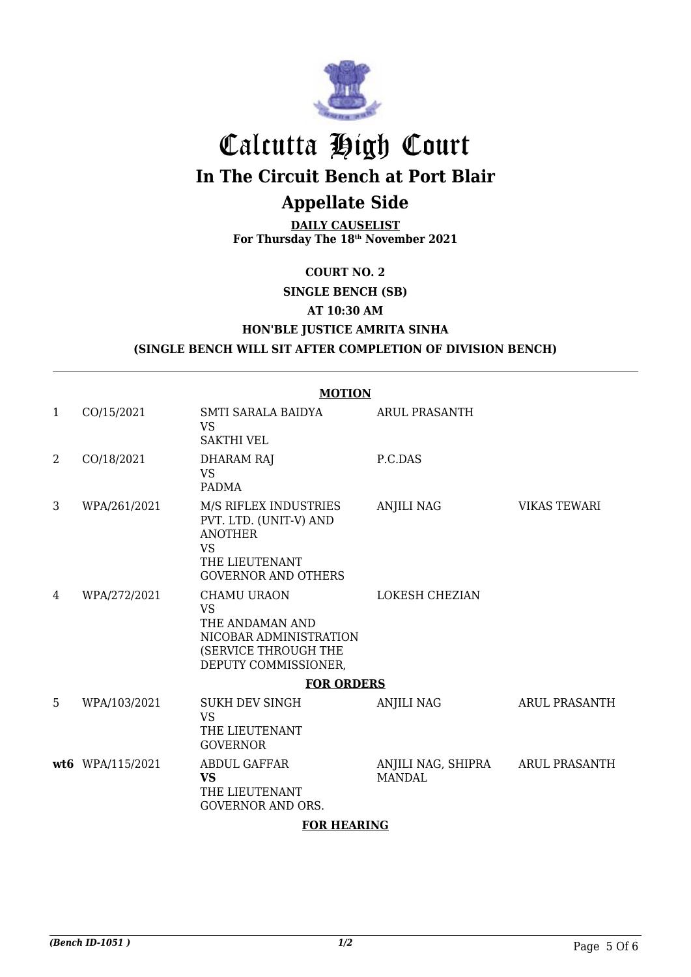

## Calcutta High Court **In The Circuit Bench at Port Blair Appellate Side**

**DAILY CAUSELIST For Thursday The 18th November 2021**

**COURT NO. 2**

**SINGLE BENCH (SB)**

**AT 10:30 AM**

### **HON'BLE JUSTICE AMRITA SINHA**

**(SINGLE BENCH WILL SIT AFTER COMPLETION OF DIVISION BENCH)**

|              | <b>MOTION</b>    |                                                                                                                                |                                     |                      |  |  |
|--------------|------------------|--------------------------------------------------------------------------------------------------------------------------------|-------------------------------------|----------------------|--|--|
| $\mathbf{1}$ | CO/15/2021       | SMTI SARALA BAIDYA<br><b>VS</b><br><b>SAKTHI VEL</b>                                                                           | <b>ARUL PRASANTH</b>                |                      |  |  |
| 2            | CO/18/2021       | <b>DHARAM RAJ</b><br><b>VS</b><br><b>PADMA</b>                                                                                 | P.C.DAS                             |                      |  |  |
| 3            | WPA/261/2021     | M/S RIFLEX INDUSTRIES<br>PVT. LTD. (UNIT-V) AND<br><b>ANOTHER</b><br><b>VS</b><br>THE LIEUTENANT<br><b>GOVERNOR AND OTHERS</b> | <b>ANJILI NAG</b>                   | <b>VIKAS TEWARI</b>  |  |  |
| 4            | WPA/272/2021     | <b>CHAMU URAON</b><br><b>VS</b><br>THE ANDAMAN AND<br>NICOBAR ADMINISTRATION<br>(SERVICE THROUGH THE<br>DEPUTY COMMISSIONER,   | LOKESH CHEZIAN                      |                      |  |  |
|              |                  | <b>FOR ORDERS</b>                                                                                                              |                                     |                      |  |  |
| 5            | WPA/103/2021     | <b>SUKH DEV SINGH</b><br><b>VS</b><br>THE LIEUTENANT<br><b>GOVERNOR</b>                                                        | <b>ANJILI NAG</b>                   | <b>ARUL PRASANTH</b> |  |  |
|              | wt6 WPA/115/2021 | <b>ABDUL GAFFAR</b><br><b>VS</b><br>THE LIEUTENANT<br><b>GOVERNOR AND ORS.</b>                                                 | ANJILI NAG, SHIPRA<br><b>MANDAL</b> | <b>ARUL PRASANTH</b> |  |  |

#### **FOR HEARING**